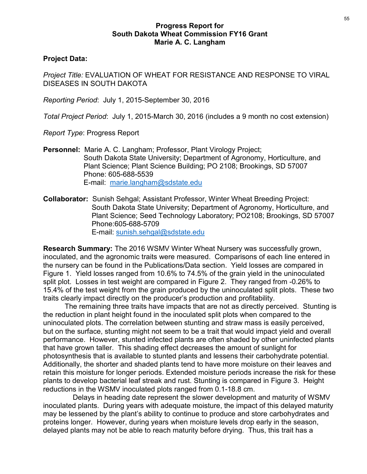## Progress Report for South Dakota Wheat Commission FY16 Grant Marie A. C. Langham

## Project Data:

Project Title: EVALUATION OF WHEAT FOR RESISTANCE AND RESPONSE TO VIRAL DISEASES IN SOUTH DAKOTA Progress Report for<br>
South Dakota Wheat Commission FY16 Grant<br>
Marie A. C. Langham<br>
Project Dite: EVALUATION OF WHEAT FOR RESISTANCE AND RESPONSE T<br>
DISEASES IN SOUTH DAKOTA<br>
Reporting Period: July 1, 2015-September 30, 20 Frogress Report for<br>
South Dakota Wheat Commission FY16 Grant<br>
Marie A. C. Langham<br>
Project Title: EVALUATION OF WHEAT FOR RESISTANCE AND RESPONSE TO VIRAL<br>
DISEASES IN SOUTH DAKOTA<br>
Reporting Period: July 1, 2015-Septembe

Report Type: Progress Report

Progress Report for<br>
South Dakota Wheat Commission FY16 Grant<br>
Marie A. C. Langham<br>
Project Data:<br>
Project Title: EVALUATION OF WHEAT FOR RESISTANCE AND RESPONSE TO VIRAL<br>
DISEASES IN SOUTH DAKOTA<br>
Reporting Period: July 1 South Dakota State University; Department of Agronomy, Horticulture, and Plant Science; Plant Science Building; PO 2108; Brookings, SD 57007 Phone: 605-688-5539 E-mail: marie.langham@sdstate.edu

Collaborator: Sunish Sehgal; Assistant Professor, Winter Wheat Breeding Project: South Dakota State University; Department of Agronomy, Horticulture, and Plant Science; Seed Technology Laboratory; PO2108; Brookings, SD 57007 Phone:605-688-5709 E-mail: sunish.sehgal@sdstate.edu

Research Summary: The 2016 WSMV Winter Wheat Nursery was successfully grown, inoculated, and the agronomic traits were measured. Comparisons of each line entered in the nursery can be found in the Publications/Data section. Yield losses are compared in Figure 1. Yield losses ranged from 10.6% to 74.5% of the grain yield in the uninoculated split plot. Losses in test weight are compared in Figure 2. They ranged from -0.26% to 15.4% of the test weight from the grain produced by the uninoculated split plots. These two traits clearly impact directly on the producer's production and profitability.

The remaining three traits have impacts that are not as directly perceived. Stunting is the reduction in plant height found in the inoculated split plots when compared to the uninoculated plots. The correlation between stunting and straw mass is easily perceived, but on the surface, stunting might not seem to be a trait that would impact yield and overall performance. However, stunted infected plants are often shaded by other uninfected plants that have grown taller. This shading effect decreases the amount of sunlight for photosynthesis that is available to stunted plants and lessens their carbohydrate potential. Additionally, the shorter and shaded plants tend to have more moisture on their leaves and retain this moisture for longer periods. Extended moisture periods increase the risk for these plants to develop bacterial leaf streak and rust. Stunting is compared in Figure 3. Height reductions in the WSMV inoculated plots ranged from 0.1-18.8 cm.

Delays in heading date represent the slower development and maturity of WSMV inoculated plants. During years with adequate moisture, the impact of this delayed maturity may be lessened by the plant's ability to continue to produce and store carbohydrates and proteins longer. However, during years when moisture levels drop early in the season, delayed plants may not be able to reach maturity before drying. Thus, this trait has a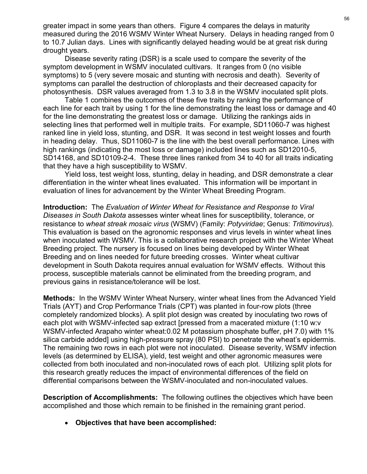greater impact in some years than others. Figure 4 compares the delays in maturity measured during the 2016 WSMV Winter Wheat Nursery. Delays in heading ranged from 0 to 10.7 Julian days. Lines with significantly delayed heading would be at great risk during drought years.

Disease severity rating (DSR) is a scale used to compare the severity of the symptom development in WSMV inoculated cultivars. It ranges from 0 (no visible symptoms) to 5 (very severe mosaic and stunting with necrosis and death). Severity of symptoms can parallel the destruction of chloroplasts and their decreased capacity for photosynthesis. DSR values averaged from 1.3 to 3.8 in the WSMV inoculated split plots.

Table 1 combines the outcomes of these five traits by ranking the performance of each line for each trait by using 1 for the line demonstrating the least loss or damage and 40 for the line demonstrating the greatest loss or damage. Utilizing the rankings aids in selecting lines that performed well in multiple traits. For example, SD11060-7 was highest ranked line in yield loss, stunting, and DSR. It was second in test weight losses and fourth greater impact in some years than others. Figure 4 compares the delays in maturity<br>measured during the 2016 WSMV Winter Wheat Nursery. Delays in heading ranged from 0<br>to 10.7 Julian days. Lines with significantly delayed h high rankings (indicating the most loss or damage) included lines such as SD12010-5, greater impact in some years than others. Figure 4 compares the delays in maturity<br>measured during the 2016 WSMV Winter Wheat Nursery. Delays in heading ranged from 0<br>to 10.7 Julian days. Lines with significantly delayed h that they have a high susceptibility to WSMV.

Yield loss, test weight loss, stunting, delay in heading, and DSR demonstrate a clear differentiation in the winter wheat lines evaluated. This information will be important in evaluation of lines for advancement by the Winter Wheat Breeding Program.

Introduction: The Evaluation of Winter Wheat for Resistance and Response to Viral Diseases in South Dakota assesses winter wheat lines for susceptibility, tolerance, or resistance to wheat streak mosaic virus (WSMV) (Family: Potyviridae; Genus: Tritimovirus). This evaluation is based on the agronomic responses and virus levels in winter wheat lines synphous an paramelia the exact of collaborative research and the exact of capacity of the form in the WSMV. Inocculated split plots.<br>The form incomes of these fore fraits by ranking the performance of<br>each line for each t Breeding project. The nursery is focused on lines being developed by Winter Wheat Breeding and on lines needed for future breeding crosses. Winter wheat cultivar development in South Dakota requires annual evaluation for WSMV effects. Without this process, susceptible materials cannot be eliminated from the breeding program, and previous gains in resistance/tolerance will be lost. ngn ramming submang the most uses of earlingery interded meas such as SUPT201-00-3, and SD10109-2-4. These three lines ranked from 34 to 40 for all tratis indicating that they have a high susceptibility to WSMV.<br>
WERIGAT t Solity than the winter wheat the mission and DSN of all using the small that they have a bigh is useptibility to WSMV.<br>
Yield loss, test weight loss, stunting, delay in heading, and DSR demonstrate a clear<br>
differentiation each of lines for a development by vivory. We will be important the wheter the main of lines for a differentiation in the winter wheat lines evaluated. This information will be important in evaluation of lines for a dvance

Methods: In the WSMV Winter Wheat Nursery, winter wheat lines from the Advanced Yield WSMV-infected Arapaho winter wheat:0.02 M potassium phosphate buffer, pH 7.0) with 1% silica carbide added] using high-pressure spray (80 PSI) to penetrate the wheat's epidermis. evaluation of mies for avvalued meth vy the vinter Wiear for Resistance and Response to Viral<br>
Interduction: The Evaluation of Winter Wheat for Resistance and Response to Viral<br>
Diseases in South Dakota assesses winter whe levels (as determined by ELISA), yield, test weight and other agronomic measures were collected from both inoculated and non-inoculated rows of each plot. Utilizing split plots for this research greatly reduces the impact of environmental differences of the field on differential comparisons between the WSMV-inoculated and non-inoculated values. Wheri noculated with versive is a coluator anver lessed on proper while the Beeding project. The nursey is focused on lines being developed by Winter Wheat Breeding and on lines heeded for future breeding crosses. Winter w

accomplished and those which remain to be finished in the remaining grant period.

Objectives that have been accomplished: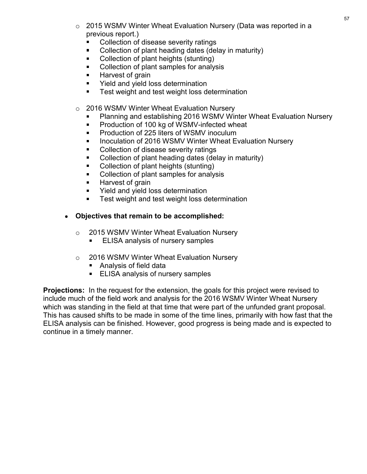- o 2015 WSMV Winter Wheat Evaluation Nursery (Data was reported in a<br>previous report.)<br>■ Collection of disease severity ratings<br>■ Collection of plant heading dates (delay in maturity)<br>● Collection of plant heights (stuntin previous report.)
	- Collection of disease severity ratings
	- Collection of plant heading dates (delay in maturity)
	- Collection of plant heights (stunting)
	- Collection of plant samples for analysis
	- $\blacksquare$ Harvest of grain
	- $\blacksquare$ Yield and yield loss determination
	- $\blacksquare$ Test weight and test weight loss determination
- o 2016 WSMV Winter Wheat Evaluation Nursery
	- Planning and establishing 2016 WSMV Winter Wheat Evaluation Nursery
	- $\blacksquare$ Production of 100 kg of WSMV-infected wheat
	- Production of 225 liters of WSMV inoculum
	- $\blacksquare$ Inoculation of 2016 WSMV Winter Wheat Evaluation Nursery
	- Collection of disease severity ratings
	- Collection of plant heading dates (delay in maturity)
	- Collection of plant heights (stunting)
	- Collection of plant samples for analysis
	- Harvest of grain
	- Yield and yield loss determination
	- Test weight and test weight loss determination
- Objectives that remain to be accomplished:
	- o 2015 WSMV Winter Wheat Evaluation Nursery
		- ELISA analysis of nursery samples
	- o 2016 WSMV Winter Wheat Evaluation Nursery
		- Analysis of field data
		- **ELISA analysis of nursery samples**

**Projections:** In the request for the extension, the goals for this project were revised to include much of the field work and analysis for the 2016 WSMV Winter Wheat Nursery Collection of plant heading dates (delay in maturity)<br>
Collection of plant heights (stunting)<br>
Collection of plant henghes for analysis<br>
Harvest of grain<br>
Yield and yield loss determination<br>
Test weight and ts et weight lo This has caused shifts to be made in some of the time lines, primarily with how fast that the ELISA analysis can be finished. However, good progress is being made and is expected to continue in a timely manner.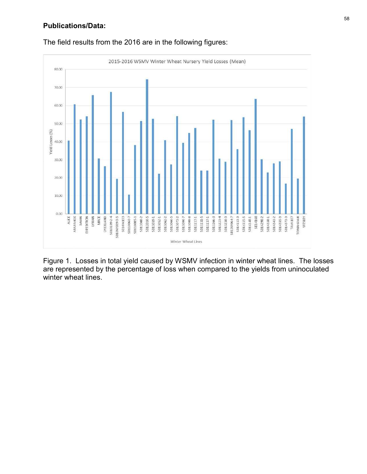## Publications/Data:



The field results from the 2016 are in the following figures:

Figure 1. Losses in total yield caused by WSMV infection in winter wheat lines. The losses are represented by the percentage of loss when compared to the yields from uninoculated winter wheat lines.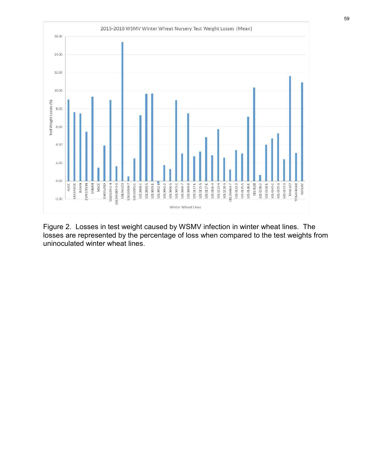

Figure 2. Losses in test weight caused by WSMV infection in winter wheat lines. The losses are represented by the percentage of loss when compared to the test weights from uninoculated winter wheat lines.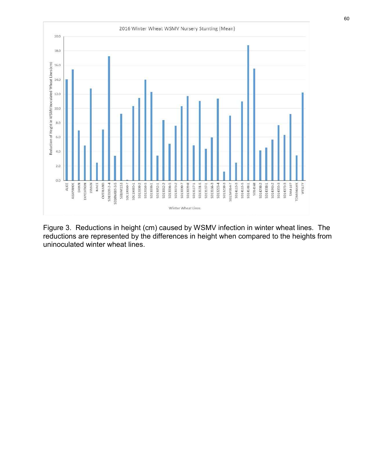

Figure 3. Reductions in height (cm) caused by WSMV infection in winter wheat lines. The reductions are represented by the differences in height when compared to the heights from uninoculated winter wheat lines.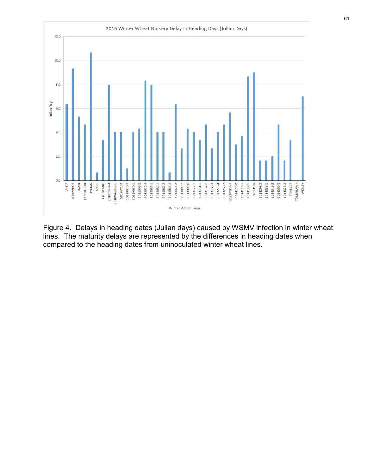

Figure 4. Delays in heading dates (Julian days) caused by WSMV infection in winter wheat lines. The maturity delays are represented by the differences in heading dates when compared to the heading dates from uninoculated winter wheat lines.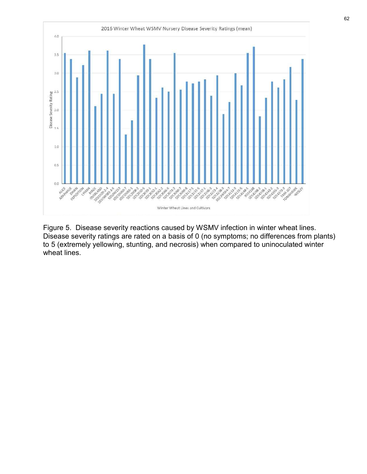

Disease severity ratings are rated on a basis of 0 (no symptoms; no differences from plants) to 5 (extremely yellowing, stunting, and necrosis) when compared to uninoculated winter wheat lines.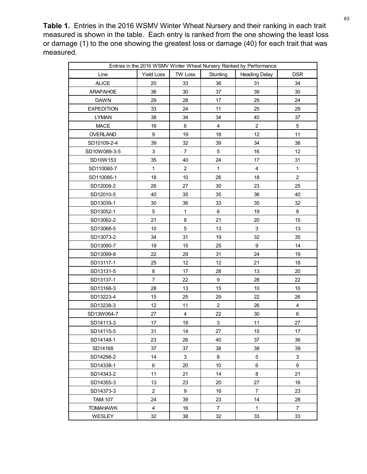Table 1. Entries in the 2016 WSMV Winter Wheat Nursery and their ranking in each trait Table 1. Entries in the 2016 WSMV Winter Wheat Nursery and their ranking in each trait<br>measured is shown in the table. Each entry is ranked from the one showing the least loss<br>or damage (1) to the one showing the greatest or damage (1) to the one showing the greatest loss or damage (40) for each trait that was measured.

| Entries in the 2016 WSMV Winter Wheat Nursery Ranked by Performance<br><b>Yield Loss</b><br>TW Loss<br><b>Heading Delay</b><br>Line<br>Stunting<br><b>DSR</b><br><b>ALICE</b><br>20<br>33<br>31<br>34<br>36<br>36<br>30<br>37<br>30<br>39<br><b>DAWN</b><br>29<br>28<br>17<br>29<br>24<br>29<br>33<br>24<br>25<br>11<br><b>LYMAN</b><br>38<br>34<br>34<br>40<br>37<br><b>MACE</b><br>6<br>$\mathbf{2}$<br>$\mathbf 5$<br>16<br>4<br>9<br>19<br>18<br>12<br>11<br>32<br>39<br>39<br>34<br>38<br>3<br>12<br>$\overline{7}$<br>5<br>16<br>35<br>40<br>24<br>17<br>31<br>$\overline{c}$<br>$\overline{4}$<br>$\mathbf{1}$<br>$\mathbf{1}$<br>$\mathbf{1}$<br>$\overline{c}$<br>10<br>26<br>18<br>18<br>$27\,$<br>$30\,$<br>23<br>SD12008-2<br>26<br>25<br>40<br>35<br>35<br>36<br>40<br>36<br>35<br>30 <sup>°</sup><br>33<br>32<br>$5\phantom{.0}$<br>19<br>8<br>$\mathbf{1}$<br>6<br>21<br>8<br>21<br>15<br>20<br>$5\,$<br>$\mathbf{3}$<br>10<br>13<br>13<br>34<br>31<br>19<br>32<br>35<br>9<br>19<br>15<br>25<br>14<br>22<br>29<br>31<br>24<br>19<br>25<br>12<br>12<br>21<br>18<br>8<br>17<br>28<br>13<br>20<br>7 <sup>7</sup><br>22<br>28<br>9<br>22<br>28<br>13<br>15<br>10 <sup>°</sup><br>10<br>25<br>15<br>29<br>22<br>26<br>12<br>$\overline{2}$<br>26<br>$\overline{4}$<br>11<br>27<br>22<br>30<br>6<br>4<br>27<br>17<br>18<br>$\mathbf{3}$<br>11<br>31<br>14<br>$27\,$<br>17<br>15<br>23<br>26<br>40<br>37<br>36<br>SD14168<br>37<br>37<br>38<br>38<br>39<br>5 <sub>5</sub><br>$\mathbf{3}$<br>14<br>3<br>8 |           |   |    |    |   |   |
|-------------------------------------------------------------------------------------------------------------------------------------------------------------------------------------------------------------------------------------------------------------------------------------------------------------------------------------------------------------------------------------------------------------------------------------------------------------------------------------------------------------------------------------------------------------------------------------------------------------------------------------------------------------------------------------------------------------------------------------------------------------------------------------------------------------------------------------------------------------------------------------------------------------------------------------------------------------------------------------------------------------------------------------------------------------------------------------------------------------------------------------------------------------------------------------------------------------------------------------------------------------------------------------------------------------------------------------------------------------------------------------------------------------------------------------------------------------------------------------------------------------------|-----------|---|----|----|---|---|
| ARAPAHOE<br><b>EXPEDITION</b><br>OVERLAND<br>SD10109-2-4<br>SD10W089-3-5<br>SD10W153<br>SD110060-7<br>SD110085-1<br>SD12010-5<br>SD13039-1<br>SD13052-1<br>SD13062-2<br>SD13066-5<br>SD13073-2<br>SD13090-7<br>SD13099-8<br>SD13117-1<br>SD13131-5<br>SD13137-1<br>SD13166-3<br>SD13223-4<br>SD13238-3<br>SD13W064-7<br>SD14113-3<br>SD14115-5<br>SD14148-1<br>SD14298-2                                                                                                                                                                                                                                                                                                                                                                                                                                                                                                                                                                                                                                                                                                                                                                                                                                                                                                                                                                                                                                                                                                                                          |           |   |    |    |   |   |
|                                                                                                                                                                                                                                                                                                                                                                                                                                                                                                                                                                                                                                                                                                                                                                                                                                                                                                                                                                                                                                                                                                                                                                                                                                                                                                                                                                                                                                                                                                                   |           |   |    |    |   |   |
|                                                                                                                                                                                                                                                                                                                                                                                                                                                                                                                                                                                                                                                                                                                                                                                                                                                                                                                                                                                                                                                                                                                                                                                                                                                                                                                                                                                                                                                                                                                   |           |   |    |    |   |   |
| . Entries in the 2016 WSMV Winter Wheat Nursery and their ranking in each trait                                                                                                                                                                                                                                                                                                                                                                                                                                                                                                                                                                                                                                                                                                                                                                                                                                                                                                                                                                                                                                                                                                                                                                                                                                                                                                                                                                                                                                   |           |   |    |    |   |   |
| ed is shown in the table. Each entry is ranked from the one showing the least loss<br>age (1) to the one showing the greatest loss or damage (40) for each trait that was                                                                                                                                                                                                                                                                                                                                                                                                                                                                                                                                                                                                                                                                                                                                                                                                                                                                                                                                                                                                                                                                                                                                                                                                                                                                                                                                         |           |   |    |    |   |   |
|                                                                                                                                                                                                                                                                                                                                                                                                                                                                                                                                                                                                                                                                                                                                                                                                                                                                                                                                                                                                                                                                                                                                                                                                                                                                                                                                                                                                                                                                                                                   |           |   |    |    |   |   |
|                                                                                                                                                                                                                                                                                                                                                                                                                                                                                                                                                                                                                                                                                                                                                                                                                                                                                                                                                                                                                                                                                                                                                                                                                                                                                                                                                                                                                                                                                                                   |           |   |    |    |   |   |
|                                                                                                                                                                                                                                                                                                                                                                                                                                                                                                                                                                                                                                                                                                                                                                                                                                                                                                                                                                                                                                                                                                                                                                                                                                                                                                                                                                                                                                                                                                                   |           |   |    |    |   |   |
|                                                                                                                                                                                                                                                                                                                                                                                                                                                                                                                                                                                                                                                                                                                                                                                                                                                                                                                                                                                                                                                                                                                                                                                                                                                                                                                                                                                                                                                                                                                   |           |   |    |    |   |   |
|                                                                                                                                                                                                                                                                                                                                                                                                                                                                                                                                                                                                                                                                                                                                                                                                                                                                                                                                                                                                                                                                                                                                                                                                                                                                                                                                                                                                                                                                                                                   |           |   |    |    |   |   |
|                                                                                                                                                                                                                                                                                                                                                                                                                                                                                                                                                                                                                                                                                                                                                                                                                                                                                                                                                                                                                                                                                                                                                                                                                                                                                                                                                                                                                                                                                                                   |           |   |    |    |   |   |
|                                                                                                                                                                                                                                                                                                                                                                                                                                                                                                                                                                                                                                                                                                                                                                                                                                                                                                                                                                                                                                                                                                                                                                                                                                                                                                                                                                                                                                                                                                                   |           |   |    |    |   |   |
|                                                                                                                                                                                                                                                                                                                                                                                                                                                                                                                                                                                                                                                                                                                                                                                                                                                                                                                                                                                                                                                                                                                                                                                                                                                                                                                                                                                                                                                                                                                   |           |   |    |    |   |   |
|                                                                                                                                                                                                                                                                                                                                                                                                                                                                                                                                                                                                                                                                                                                                                                                                                                                                                                                                                                                                                                                                                                                                                                                                                                                                                                                                                                                                                                                                                                                   |           |   |    |    |   |   |
|                                                                                                                                                                                                                                                                                                                                                                                                                                                                                                                                                                                                                                                                                                                                                                                                                                                                                                                                                                                                                                                                                                                                                                                                                                                                                                                                                                                                                                                                                                                   |           |   |    |    |   |   |
|                                                                                                                                                                                                                                                                                                                                                                                                                                                                                                                                                                                                                                                                                                                                                                                                                                                                                                                                                                                                                                                                                                                                                                                                                                                                                                                                                                                                                                                                                                                   |           |   |    |    |   |   |
|                                                                                                                                                                                                                                                                                                                                                                                                                                                                                                                                                                                                                                                                                                                                                                                                                                                                                                                                                                                                                                                                                                                                                                                                                                                                                                                                                                                                                                                                                                                   |           |   |    |    |   |   |
|                                                                                                                                                                                                                                                                                                                                                                                                                                                                                                                                                                                                                                                                                                                                                                                                                                                                                                                                                                                                                                                                                                                                                                                                                                                                                                                                                                                                                                                                                                                   |           |   |    |    |   |   |
|                                                                                                                                                                                                                                                                                                                                                                                                                                                                                                                                                                                                                                                                                                                                                                                                                                                                                                                                                                                                                                                                                                                                                                                                                                                                                                                                                                                                                                                                                                                   |           |   |    |    |   |   |
|                                                                                                                                                                                                                                                                                                                                                                                                                                                                                                                                                                                                                                                                                                                                                                                                                                                                                                                                                                                                                                                                                                                                                                                                                                                                                                                                                                                                                                                                                                                   |           |   |    |    |   |   |
|                                                                                                                                                                                                                                                                                                                                                                                                                                                                                                                                                                                                                                                                                                                                                                                                                                                                                                                                                                                                                                                                                                                                                                                                                                                                                                                                                                                                                                                                                                                   |           |   |    |    |   |   |
|                                                                                                                                                                                                                                                                                                                                                                                                                                                                                                                                                                                                                                                                                                                                                                                                                                                                                                                                                                                                                                                                                                                                                                                                                                                                                                                                                                                                                                                                                                                   |           |   |    |    |   |   |
|                                                                                                                                                                                                                                                                                                                                                                                                                                                                                                                                                                                                                                                                                                                                                                                                                                                                                                                                                                                                                                                                                                                                                                                                                                                                                                                                                                                                                                                                                                                   |           |   |    |    |   |   |
|                                                                                                                                                                                                                                                                                                                                                                                                                                                                                                                                                                                                                                                                                                                                                                                                                                                                                                                                                                                                                                                                                                                                                                                                                                                                                                                                                                                                                                                                                                                   |           |   |    |    |   |   |
|                                                                                                                                                                                                                                                                                                                                                                                                                                                                                                                                                                                                                                                                                                                                                                                                                                                                                                                                                                                                                                                                                                                                                                                                                                                                                                                                                                                                                                                                                                                   |           |   |    |    |   |   |
|                                                                                                                                                                                                                                                                                                                                                                                                                                                                                                                                                                                                                                                                                                                                                                                                                                                                                                                                                                                                                                                                                                                                                                                                                                                                                                                                                                                                                                                                                                                   |           |   |    |    |   |   |
|                                                                                                                                                                                                                                                                                                                                                                                                                                                                                                                                                                                                                                                                                                                                                                                                                                                                                                                                                                                                                                                                                                                                                                                                                                                                                                                                                                                                                                                                                                                   |           |   |    |    |   |   |
|                                                                                                                                                                                                                                                                                                                                                                                                                                                                                                                                                                                                                                                                                                                                                                                                                                                                                                                                                                                                                                                                                                                                                                                                                                                                                                                                                                                                                                                                                                                   |           |   |    |    |   |   |
|                                                                                                                                                                                                                                                                                                                                                                                                                                                                                                                                                                                                                                                                                                                                                                                                                                                                                                                                                                                                                                                                                                                                                                                                                                                                                                                                                                                                                                                                                                                   |           |   |    |    |   |   |
|                                                                                                                                                                                                                                                                                                                                                                                                                                                                                                                                                                                                                                                                                                                                                                                                                                                                                                                                                                                                                                                                                                                                                                                                                                                                                                                                                                                                                                                                                                                   |           |   |    |    |   |   |
|                                                                                                                                                                                                                                                                                                                                                                                                                                                                                                                                                                                                                                                                                                                                                                                                                                                                                                                                                                                                                                                                                                                                                                                                                                                                                                                                                                                                                                                                                                                   |           |   |    |    |   |   |
|                                                                                                                                                                                                                                                                                                                                                                                                                                                                                                                                                                                                                                                                                                                                                                                                                                                                                                                                                                                                                                                                                                                                                                                                                                                                                                                                                                                                                                                                                                                   |           |   |    |    |   |   |
|                                                                                                                                                                                                                                                                                                                                                                                                                                                                                                                                                                                                                                                                                                                                                                                                                                                                                                                                                                                                                                                                                                                                                                                                                                                                                                                                                                                                                                                                                                                   |           |   |    |    |   |   |
|                                                                                                                                                                                                                                                                                                                                                                                                                                                                                                                                                                                                                                                                                                                                                                                                                                                                                                                                                                                                                                                                                                                                                                                                                                                                                                                                                                                                                                                                                                                   |           |   |    |    |   |   |
|                                                                                                                                                                                                                                                                                                                                                                                                                                                                                                                                                                                                                                                                                                                                                                                                                                                                                                                                                                                                                                                                                                                                                                                                                                                                                                                                                                                                                                                                                                                   |           |   |    |    |   |   |
|                                                                                                                                                                                                                                                                                                                                                                                                                                                                                                                                                                                                                                                                                                                                                                                                                                                                                                                                                                                                                                                                                                                                                                                                                                                                                                                                                                                                                                                                                                                   |           |   |    |    |   |   |
|                                                                                                                                                                                                                                                                                                                                                                                                                                                                                                                                                                                                                                                                                                                                                                                                                                                                                                                                                                                                                                                                                                                                                                                                                                                                                                                                                                                                                                                                                                                   |           |   |    |    |   |   |
|                                                                                                                                                                                                                                                                                                                                                                                                                                                                                                                                                                                                                                                                                                                                                                                                                                                                                                                                                                                                                                                                                                                                                                                                                                                                                                                                                                                                                                                                                                                   |           |   |    |    |   |   |
|                                                                                                                                                                                                                                                                                                                                                                                                                                                                                                                                                                                                                                                                                                                                                                                                                                                                                                                                                                                                                                                                                                                                                                                                                                                                                                                                                                                                                                                                                                                   |           |   |    |    |   |   |
|                                                                                                                                                                                                                                                                                                                                                                                                                                                                                                                                                                                                                                                                                                                                                                                                                                                                                                                                                                                                                                                                                                                                                                                                                                                                                                                                                                                                                                                                                                                   |           |   |    |    |   |   |
|                                                                                                                                                                                                                                                                                                                                                                                                                                                                                                                                                                                                                                                                                                                                                                                                                                                                                                                                                                                                                                                                                                                                                                                                                                                                                                                                                                                                                                                                                                                   |           |   |    |    |   |   |
|                                                                                                                                                                                                                                                                                                                                                                                                                                                                                                                                                                                                                                                                                                                                                                                                                                                                                                                                                                                                                                                                                                                                                                                                                                                                                                                                                                                                                                                                                                                   |           |   |    |    |   |   |
|                                                                                                                                                                                                                                                                                                                                                                                                                                                                                                                                                                                                                                                                                                                                                                                                                                                                                                                                                                                                                                                                                                                                                                                                                                                                                                                                                                                                                                                                                                                   |           |   |    |    |   |   |
|                                                                                                                                                                                                                                                                                                                                                                                                                                                                                                                                                                                                                                                                                                                                                                                                                                                                                                                                                                                                                                                                                                                                                                                                                                                                                                                                                                                                                                                                                                                   |           |   |    |    |   |   |
|                                                                                                                                                                                                                                                                                                                                                                                                                                                                                                                                                                                                                                                                                                                                                                                                                                                                                                                                                                                                                                                                                                                                                                                                                                                                                                                                                                                                                                                                                                                   | SD14338-1 | 6 | 20 | 10 | 6 | 9 |
| 8<br>11<br>21<br>21<br>14<br>SD14343-2                                                                                                                                                                                                                                                                                                                                                                                                                                                                                                                                                                                                                                                                                                                                                                                                                                                                                                                                                                                                                                                                                                                                                                                                                                                                                                                                                                                                                                                                            |           |   |    |    |   |   |
| 27<br>SD14355-3<br>13<br>23<br>20<br>16                                                                                                                                                                                                                                                                                                                                                                                                                                                                                                                                                                                                                                                                                                                                                                                                                                                                                                                                                                                                                                                                                                                                                                                                                                                                                                                                                                                                                                                                           |           |   |    |    |   |   |
| $\overline{2}$<br>$\overline{7}$<br>9<br>23<br>SD14373-3<br>16                                                                                                                                                                                                                                                                                                                                                                                                                                                                                                                                                                                                                                                                                                                                                                                                                                                                                                                                                                                                                                                                                                                                                                                                                                                                                                                                                                                                                                                    |           |   |    |    |   |   |
| $14$<br>24<br>39<br>23<br>28<br><b>TAM-107</b>                                                                                                                                                                                                                                                                                                                                                                                                                                                                                                                                                                                                                                                                                                                                                                                                                                                                                                                                                                                                                                                                                                                                                                                                                                                                                                                                                                                                                                                                    |           |   |    |    |   |   |
| <b>TOMAHAWK</b><br>4<br>16<br>$\overline{7}$<br>$\mathbf{1}$<br>$\overline{7}$                                                                                                                                                                                                                                                                                                                                                                                                                                                                                                                                                                                                                                                                                                                                                                                                                                                                                                                                                                                                                                                                                                                                                                                                                                                                                                                                                                                                                                    |           |   |    |    |   |   |
| 38<br>WESLEY<br>32<br>32<br>33<br>33                                                                                                                                                                                                                                                                                                                                                                                                                                                                                                                                                                                                                                                                                                                                                                                                                                                                                                                                                                                                                                                                                                                                                                                                                                                                                                                                                                                                                                                                              |           |   |    |    |   |   |